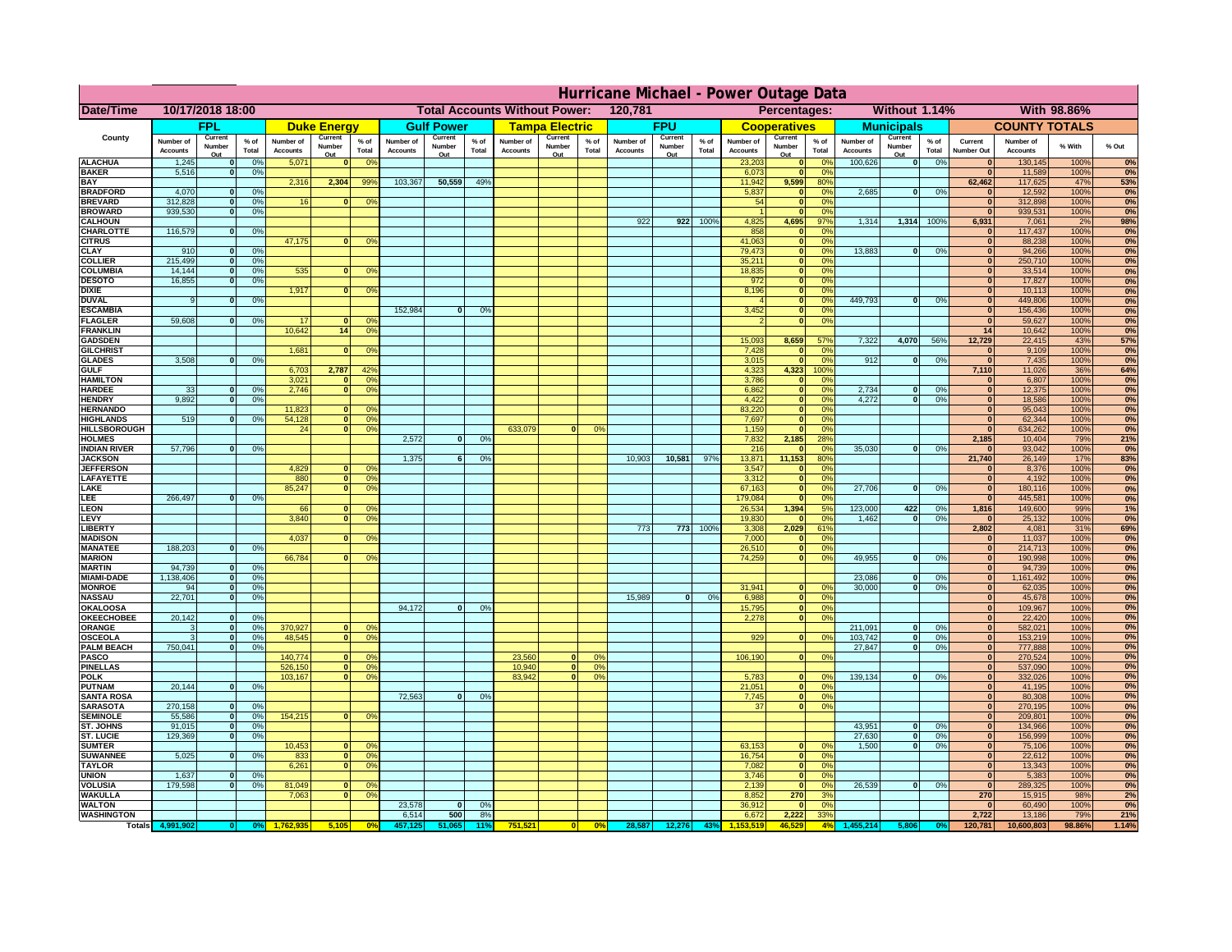|                                         | Hurricane Michael - Power Outage Data |                   |                                  |                              |                                  |                                                 |                              |                   |                       |                                              |                                     |                 |                              |                   |                   |                              |                             |                       |                              |                             |                 |                              |                              |              |           |
|-----------------------------------------|---------------------------------------|-------------------|----------------------------------|------------------------------|----------------------------------|-------------------------------------------------|------------------------------|-------------------|-----------------------|----------------------------------------------|-------------------------------------|-----------------|------------------------------|-------------------|-------------------|------------------------------|-----------------------------|-----------------------|------------------------------|-----------------------------|-----------------|------------------------------|------------------------------|--------------|-----------|
| Date/Time                               | 10/17/2018 18:00                      |                   |                                  |                              |                                  | 120,781<br><b>Total Accounts Without Power:</b> |                              |                   |                       | Without 1.14%<br>With 98.86%<br>Percentages: |                                     |                 |                              |                   |                   |                              |                             |                       |                              |                             |                 |                              |                              |              |           |
|                                         | <b>FPL</b>                            |                   | <b>Duke Energy</b>               |                              |                                  | <b>Gulf Power</b>                               |                              |                   | <b>Tampa Electric</b> |                                              | <b>FPU</b>                          |                 | <b>Cooperatives</b>          |                   | <b>Municipals</b> |                              | <b>COUNTY TOTALS</b>        |                       |                              |                             |                 |                              |                              |              |           |
| County                                  | Number of<br><b>Accounts</b>          | Current<br>Number | % of<br>Total                    | Number of<br><b>Accounts</b> | Current<br>Number                | $%$ of<br>Total                                 | Number of<br><b>Accounts</b> | Current<br>Number | $%$ of<br>Total       | Number of<br><b>Accounts</b>                 | Current<br>Number                   | $%$ of<br>Total | Number of<br><b>Accounts</b> | Current<br>Number | $%$ of<br>Total   | Number of<br><b>Accounts</b> | Current<br>Number           | $%$ of<br>Total       | Number of<br><b>Accounts</b> | Current<br>Number           | $%$ of<br>Total | Current<br><b>Number Out</b> | Number of<br><b>Accounts</b> | % With       | % Out     |
| <b>ALACHUA</b>                          | 1,245                                 | Out               | 0 <sup>9</sup>                   | 5,071                        | Out<br>$\bf{0}$                  | 0 <sup>9</sup>                                  |                              | Out               |                       |                                              | Out                                 |                 |                              | Out               |                   | 23,203                       | Out<br>$\mathbf{0}$         | 0 <sup>9</sup>        | 100,626                      | Out<br> 0                   | 0%              | $\bf{0}$                     | 130,145                      | 100%         | 0%        |
| <b>BAKER</b>                            | 5,516                                 |                   | 0%                               |                              |                                  |                                                 |                              |                   |                       |                                              |                                     |                 |                              |                   |                   | 6,073                        | ō                           | 0%                    |                              |                             |                 | $\mathbf{0}$                 | 11,589                       | 100%         | 0%        |
| <b>BAY</b><br><b>BRADFORD</b>           | 4,070                                 |                   | 0 <sup>9</sup>                   | 2,316                        | 2,304                            | 99%                                             | 103,367                      | 50,559            | 49%                   |                                              |                                     |                 |                              |                   |                   | 11,942<br>5,837              | 9,599<br>$\mathbf{0}$       | 80%<br>0%             | 2,685                        | 0                           | 0%              | 62,462<br>$\bf{0}$           | 117,625<br>12,592            | 47%<br>100%  | 53%<br>0% |
| <b>BREVARD</b>                          | 312,828                               |                   | 0 <sup>9</sup>                   | 16                           | $\mathbf{0}$                     | 0%                                              |                              |                   |                       |                                              |                                     |                 |                              |                   |                   | 54                           | $\mathbf{0}$                | 0%                    |                              |                             |                 | $\mathbf{0}$                 | 312,898                      | 100%         | 0%        |
| <b>BROWARD</b>                          | 939.530                               |                   | 0 <sup>9</sup>                   |                              |                                  |                                                 |                              |                   |                       |                                              |                                     |                 |                              |                   |                   |                              | $\mathbf{0}$                | 0%                    |                              |                             |                 | $\bf{0}$                     | 939,531                      | 100%         | 0%        |
| <b>CALHOUN</b><br>CHARLOTTE             | 116,579                               |                   | 0%                               |                              |                                  |                                                 |                              |                   |                       |                                              |                                     |                 | 922                          | 922               | 100%              | 4,825<br>858                 | 4,695<br>$\mathbf{0}$       | 97%<br>0%             | 1,314                        | 1,314 100%                  |                 | 6,931<br>$\bf{0}$            | 7,061<br>117,437             | 2%<br>100%   | 98%<br>0% |
| <b>CITRUS</b>                           |                                       |                   |                                  | 47,175                       | $\mathbf{0}$                     | 0 <sup>9</sup>                                  |                              |                   |                       |                                              |                                     |                 |                              |                   |                   | 41,063                       | $\mathbf 0$                 | 0 <sup>9</sup>        |                              |                             |                 | $\bf{0}$                     | 88,238                       | 100%         | 0%        |
| <b>CLAY</b>                             | 910                                   |                   | 0 <sup>9</sup>                   |                              |                                  |                                                 |                              |                   |                       |                                              |                                     |                 |                              |                   |                   | 79,473                       | $\mathbf 0$                 | 0 <sup>9</sup>        | 13,883                       | $\mathbf{0}$                | 0%              | $\bf{0}$                     | 94,266                       | 100%         | 0%        |
| <b>COLLIER</b><br><b>COLUMBIA</b>       | 215,499<br>14,144                     |                   | 0 <sup>9</sup><br>0 <sup>9</sup> | 535                          | $\bf{0}$                         | 0 <sup>9</sup>                                  |                              |                   |                       |                                              |                                     |                 |                              |                   |                   | 35,211<br>18,835             | $\mathbf{0}$<br>ō           | 0%<br>0%              |                              |                             |                 | $\bf{0}$<br>$\bf{0}$         | 250,710<br>33,514            | 100%<br>100% | 0%<br>0%  |
| <b>DESOTO</b>                           | 16,855                                |                   | 0 <sup>9</sup>                   |                              |                                  |                                                 |                              |                   |                       |                                              |                                     |                 |                              |                   |                   | 972                          | ō                           | 0%                    |                              |                             |                 | $\bf{0}$                     | 17,827                       | 100%         | 0%        |
| <b>DIXIE</b>                            |                                       |                   |                                  | 1,917                        | $\mathbf{0}$                     | 0°                                              |                              |                   |                       |                                              |                                     |                 |                              |                   |                   | 8,196                        | $\mathbf{0}$                | $\Omega$ <sup>o</sup> | 449.793                      |                             |                 | $\bf{0}$                     | 10,113                       | 100%         | 0%        |
| <b>DUVAL</b><br><b>ESCAMBIA</b>         |                                       |                   | 0%                               |                              |                                  |                                                 | 152,984                      | $\bf{0}$          | 0 <sup>9</sup>        |                                              |                                     |                 |                              |                   |                   | 3,452                        | $\mathbf{0}$<br>$\mathbf 0$ | 0%<br>0%              |                              | ol                          | 0%              | $\Omega$<br>$\mathbf{0}$     | 449,806<br>156,436           | 100%<br>100% | 0%<br>0%  |
| <b>FLAGLER</b>                          | 59,608                                |                   | 0%                               | 17                           | $\mathbf{r}$                     | 0 <sup>9</sup>                                  |                              |                   |                       |                                              |                                     |                 |                              |                   |                   |                              | $\bullet$                   | 0%                    |                              |                             |                 | $\mathbf{0}$                 | 59,627                       | 100%         | 0%        |
| <b>FRANKLIN</b>                         |                                       |                   |                                  | 10,642                       | 14                               | 0 <sup>9</sup>                                  |                              |                   |                       |                                              |                                     |                 |                              |                   |                   |                              |                             |                       |                              |                             |                 | 14                           | 10,642                       | 100%         | 0%        |
| <b>GADSDEN</b><br><b>GILCHRIST</b>      |                                       |                   |                                  | 1,681                        | $\Omega$                         | 0 <sup>9</sup>                                  |                              |                   |                       |                                              |                                     |                 |                              |                   |                   | 15,093<br>7,428              | 8,659<br>$\mathbf{0}$       | 57%<br>0%             | 7,322                        | 4,070                       | 56%             | 12,729<br>$\mathbf{0}$       | 22,415<br>9,109              | 43%<br>100%  | 57%<br>0% |
| <b>GLADES</b>                           | 3,508                                 |                   | 0 <sup>9</sup>                   |                              |                                  |                                                 |                              |                   |                       |                                              |                                     |                 |                              |                   |                   | 3,015                        | $\bullet$                   | 0%                    | 912                          | $\mathbf{0}$                | 0%              | 0                            | 7,435                        | 100%         | 0%        |
| <b>GULF</b>                             |                                       |                   |                                  | 6,703                        | 2,787                            | $42^{o}$                                        |                              |                   |                       |                                              |                                     |                 |                              |                   |                   | 4,323                        | 4,323                       | 100%                  |                              |                             |                 | 7,110                        | 11,026                       | 36%          | 64%       |
| <b>HAMILTON</b><br><b>HARDEE</b>        | 33                                    |                   | 0%                               | 3,021<br>2.746               | $\mathbf{a}$<br>n l              | 0 <sup>9</sup><br>0 <sup>9</sup>                |                              |                   |                       |                                              |                                     |                 |                              |                   |                   | 3,786<br>6.862               | $\mathbf{0}$<br> 0          | 0%<br>0%              | 2.734                        | $\bf{0}$                    | 0%              | $\mathbf{0}$<br> 0           | 6,807<br>12,375              | 100%<br>100% | 0%<br>0%  |
| <b>HENDRY</b>                           | 9.892                                 |                   | 0%                               |                              |                                  |                                                 |                              |                   |                       |                                              |                                     |                 |                              |                   |                   | 4.422                        | 0                           | 0%                    | 4.272                        | $\mathbf{0}$                | 0%              | 0                            | 18.586                       | 100%         | 0%        |
| <b>HERNANDO</b>                         |                                       |                   |                                  | 11,823                       | <sup>o</sup>                     | $\Omega$                                        |                              |                   |                       |                                              |                                     |                 |                              |                   |                   | 83,220                       | 0                           | 0%                    |                              |                             |                 | 0                            | 95,043                       | 100%         | 0%        |
| <b>HIGHLANDS</b><br><b>HILLSBOROUGH</b> | 519                                   |                   | 0 <sup>9</sup>                   | 54,128<br>24                 | $\overline{0}$<br>$\overline{0}$ | 0%<br>0%                                        |                              |                   |                       | 633,079                                      |                                     | 0%              |                              |                   |                   | 7,697<br>1,159               | ō<br>$\mathbf{0}$           | 0%<br>0%              |                              |                             |                 | 0 <br> 0                     | 62,344<br>634,262            | 100%<br>100% | 0%<br>0%  |
| <b>HOLMES</b>                           |                                       |                   |                                  |                              |                                  |                                                 | 2,572                        | $\mathbf{0}$      | 0%                    |                                              |                                     |                 |                              |                   |                   | 7,832                        | 2,185                       | 28%                   |                              |                             |                 | 2,185                        | 10,404                       | 79%          | 21%       |
| <b>INDIAN RIVER</b>                     | 57,796                                |                   | 0%                               |                              |                                  |                                                 |                              |                   |                       |                                              |                                     |                 |                              |                   |                   | 216                          | $\mathbf{0}$                | 0 <sup>9</sup>        | 35,030                       | $\mathbf{0}$                | 0%              | $\bf{0}$                     | 93,042                       | 100%         | 0%        |
| <b>JACKSON</b><br><b>JEFFERSON</b>      |                                       |                   |                                  | 4,829                        | οl                               | 0 <sup>9</sup>                                  | 1,375                        | 6                 | O <sup>o</sup>        |                                              |                                     |                 | 10,903                       | 10,581            | 97%               | 13,871<br>3,547              | 11,153<br>$\mathbf 0$       | 80%<br>0%             |                              |                             |                 | 21,740<br>$\Omega$           | 26,149<br>8,376              | 17%<br>100%  | 83%<br>0% |
| LAFAYETTE                               |                                       |                   |                                  | 880                          | $\overline{0}$                   | 0%                                              |                              |                   |                       |                                              |                                     |                 |                              |                   |                   | 3,312                        | $\mathbf{0}$                | 0%                    |                              |                             |                 | 0                            | 4,192                        | 100%         | 0%        |
| LAKE                                    |                                       |                   |                                  | 85,247                       | $\overline{0}$                   | 0%                                              |                              |                   |                       |                                              |                                     |                 |                              |                   |                   | 67,163                       | $\mathbf{0}$                | 0%                    | 27,706                       | $\Omega$                    | 0%              | 0                            | 180,116                      | 100%         | 0%        |
| LEE<br><b>LEON</b>                      | 266,497                               |                   | 0%                               | 66                           | $\Omega$                         | O <sup>9</sup>                                  |                              |                   |                       |                                              |                                     |                 |                              |                   |                   | 179,084<br>26,534            | $\mathbf{0}$<br>1,394       | 0%<br>5%              | 123,000                      | 422                         | 0%              | 0 <br>1,816                  | 445,581<br>149,600           | 100%<br>99%  | 0%<br>1%  |
| LEVY                                    |                                       |                   |                                  | 3,840                        | $\Omega$                         | 0 <sup>9</sup>                                  |                              |                   |                       |                                              |                                     |                 |                              |                   |                   | 19,830                       | $\mathbf{0}$                | 0%                    | 1,462                        | $\mathbf{0}$                | 0%              | 0                            | 25,132                       | 100%         | 0%        |
| <b>LIBERTY</b>                          |                                       |                   |                                  |                              |                                  |                                                 |                              |                   |                       |                                              |                                     |                 | 773                          | 773               | 100%              | 3,308                        | 2,029                       | 61%                   |                              |                             |                 | 2,802                        | 4,081                        | 31%          | 69%       |
| <b>MADISON</b><br><b>MANATEE</b>        | 188,203                               | $\Omega$          | 0%                               | 4,037                        | <sup>o</sup>                     | 0 <sup>9</sup>                                  |                              |                   |                       |                                              |                                     |                 |                              |                   |                   | 7,000<br>26,510              | $\mathbf{0}$<br> 0          | 0%<br>0%              |                              |                             |                 | 0 <br> 0                     | 11,037<br>214,713            | 100%<br>100% | 0%<br>0%  |
| <b>MARION</b>                           |                                       |                   |                                  | 66,784                       |                                  | 0°                                              |                              |                   |                       |                                              |                                     |                 |                              |                   |                   | 74,259                       | 0                           | 0%                    | 49,955                       | $\Omega$                    | 0%              | 0                            | 190,998                      | 100%         | 0%        |
| <b>MARTIN</b>                           | 94,739                                | $\Omega$          | 0 <sup>9</sup>                   |                              |                                  |                                                 |                              |                   |                       |                                              |                                     |                 |                              |                   |                   |                              |                             |                       |                              |                             |                 | 0                            | 94,739                       | 100%         | 0%        |
| <b>MIAMI-DADE</b><br><b>MONROE</b>      | 1,138,406<br>94                       | $\mathbf{o}$<br>0 | 0 <sup>9</sup><br>0%             |                              |                                  |                                                 |                              |                   |                       |                                              |                                     |                 |                              |                   |                   | 31,941                       | $\mathbf{0}$                | 0 <sup>9</sup>        | 23,086<br>30,000             | $\mathbf 0$<br>$\mathbf{0}$ | 0%<br>0%        | 0 <br> 0                     | 1,161,492<br>62,035          | 100%<br>100% | 0%<br>0%  |
| <b>NASSAU</b>                           | 22,701                                | $\Omega$          | 0%                               |                              |                                  |                                                 |                              |                   |                       |                                              |                                     |                 | 15,989                       | 0                 | 0%                | 6,988                        | 0                           | 0%                    |                              |                             |                 | 0                            | 45,678                       | 100%         | 0%        |
| OKALOOSA                                |                                       |                   |                                  |                              |                                  |                                                 | 94,172                       | $\bf{0}$          | 0%                    |                                              |                                     |                 |                              |                   |                   | 15,795                       | 0                           | 0%                    |                              |                             |                 | 0                            | 109,967                      | 100%         | 0%        |
| <b>OKEECHOBEE</b><br>ORANGE             | 20,142                                | $\Omega$          | 0%<br>0 <sup>9</sup>             | 370,927                      | $\Omega$                         | 0 <sup>6</sup>                                  |                              |                   |                       |                                              |                                     |                 |                              |                   |                   | 2,278                        | 0                           | 0%                    | 211,091                      | $\mathbf{0}$                | 0%              | 0 <br> 0                     | 22,420<br>582,021            | 100%<br>100% | 0%<br>0%  |
| <b>OSCEOLA</b>                          |                                       | $\Omega$          | 0 <sup>9</sup>                   | 48,545                       | $\Omega$                         | $\overline{0}$                                  |                              |                   |                       |                                              |                                     |                 |                              |                   |                   | 929                          | 0                           | 0 <sup>9</sup>        | 103,742                      | 0                           | 0%              | 0                            | 153,219                      | 100%         | 0%        |
| <b>PALM BEACH</b>                       | 750,041                               | $\Omega$          | 0 <sup>9</sup>                   |                              |                                  |                                                 |                              |                   |                       |                                              |                                     |                 |                              |                   |                   |                              |                             |                       | 27,847                       | ol                          | 0%              | 0                            | 777,888                      | 100%         | 0%        |
| PASCO<br><b>PINELLAS</b>                |                                       |                   |                                  | 140,774<br>526,150           | $\Omega$<br> 0                   | $^{\circ}$<br>0 <sup>9</sup>                    |                              |                   |                       | 23,560<br>10,940                             | $\Omega$<br>$\overline{\mathbf{0}}$ | 0%<br>0%        |                              |                   |                   | 106,190                      | 0                           | 0%                    |                              |                             |                 | 0 <br>$\Omega$               | 270,524<br>537,090           | 100%<br>100% | 0%<br>0%  |
| <b>POLK</b>                             |                                       |                   |                                  | 103,167                      | 0                                | 0 <sup>9</sup>                                  |                              |                   |                       | 83,942                                       | 0                                   | 0%              |                              |                   |                   | 5,783                        | 0                           | nº                    | 139,134                      | 0                           | 0%              | 0                            | 332,026                      | 100%         | 0%        |
| <b>PUTNAM</b>                           | 20,144                                | $\mathbf{0}$      | 0%                               |                              |                                  |                                                 |                              |                   |                       |                                              |                                     |                 |                              |                   |                   | 21,051                       | 0                           | 0%                    |                              |                             |                 | $\bf{0}$                     | 41,195                       | 100%         | 0%        |
| <b>SANTA ROSA</b><br><b>SARASOTA</b>    | 270,158                               | $\Omega$          | 0%                               |                              |                                  |                                                 | 72,563                       | 0                 | 0%                    |                                              |                                     |                 |                              |                   |                   | 7,745<br>37                  | 0 <br> 0                    | 0%<br>0%              |                              |                             |                 | $\mathbf{0}$<br>$\mathbf{0}$ | 80,308<br>270,195            | 100%<br>100% | 0%<br>0%  |
| <b>SEMINOLE</b>                         | 55,586                                | $\mathbf{0}$      | 0 <sup>9</sup>                   | 154,215                      | $\mathbf{0}$                     | 0 <sup>9</sup>                                  |                              |                   |                       |                                              |                                     |                 |                              |                   |                   |                              |                             |                       |                              |                             |                 | $\mathbf{0}$                 | 209,801                      | 100%         | 0%        |
| <b>ST. JOHNS</b>                        | 91.015                                | $\Omega$          | 0 <sup>9</sup>                   |                              |                                  |                                                 |                              |                   |                       |                                              |                                     |                 |                              |                   |                   |                              |                             |                       | 43,951                       | -ol                         | 0%              | 0                            | 134,966                      | 100%         | 0%        |
| <b>ST. LUCIE</b><br><b>SUMTER</b>       | 129.369                               | $\Omega$          | 0%                               | 10,453                       | $\mathbf{0}$                     | $\Omega$                                        |                              |                   |                       |                                              |                                     |                 |                              |                   |                   | 63,153                       | $\mathbf{0}$                | 0%                    | 27.630<br>1.500              | - O I<br>0                  | 0%<br>0%        | 0 <br>$\overline{0}$         | 156.999<br>75,106            | 100%<br>100% | 0%<br>0%  |
| <b>SUWANNEE</b>                         | 5,025                                 | $\Omega$          | 0%                               | 833                          | 0                                | 0 <sup>9</sup>                                  |                              |                   |                       |                                              |                                     |                 |                              |                   |                   | 16,754                       | 0                           | 0%                    |                              |                             |                 | 0                            | 22,612                       | 100%         | 0%        |
| <b>TAYLOR</b>                           |                                       |                   |                                  | 6,261                        | 0                                | 0 <sup>9</sup>                                  |                              |                   |                       |                                              |                                     |                 |                              |                   |                   | 7,082                        | 0                           | 0%                    |                              |                             |                 | $\bf{0}$                     | 13,343                       | 100%         | 0%        |
| <b>UNION</b><br>VOLUSIA                 | 1,637<br>179,598                      |                   | 0 <sup>9</sup><br>0 <sup>9</sup> |                              | $\mathbf{0}$                     | 0 <sup>6</sup>                                  |                              |                   |                       |                                              |                                     |                 |                              |                   |                   | 3,746                        | $\mathbf 0$<br>$\mathbf 0$  | 0%<br>0%              | 26,539                       | 0                           | 0%              | $\bf{0}$                     | 5,383                        | 100%<br>100% | 0%<br>0%  |
| <b>WAKULLA</b>                          |                                       |                   |                                  | 81,049<br>7,063              | $\mathbf{0}$                     | 0 <sup>9</sup>                                  |                              |                   |                       |                                              |                                     |                 |                              |                   |                   | 2,139<br>8,852               | 270                         | 3%                    |                              |                             |                 | 0 <br>270                    | 289,325<br>15,915            | 98%          | 2%        |
| <b>WALTON</b>                           |                                       |                   |                                  |                              |                                  |                                                 | 23,578                       | $\bf{0}$          | 0%                    |                                              |                                     |                 |                              |                   |                   | 36,912                       | $\mathbf 0$                 | 0%                    |                              |                             |                 | $\mathbf{0}$                 | 60,490                       | 100%         | 0%        |
| <b>WASHINGTON</b>                       |                                       |                   |                                  |                              |                                  |                                                 | 6,514                        | 500               | 8%                    |                                              |                                     |                 |                              |                   |                   | 6,672                        | 2,222                       | 33%                   |                              |                             |                 | 2,722                        | 13,186                       | 79%          | 21%       |
| Totals 4,9                              |                                       |                   |                                  |                              |                                  | 0 <sup>o</sup>                                  |                              |                   | 11°                   | 751,521                                      |                                     | 0%              | 28,587                       | 12,276            | 439               |                              | 46.529                      | 4%                    |                              | 5,806                       |                 | 120,781                      | 10,600,803                   | 98.86%       | 1.14%     |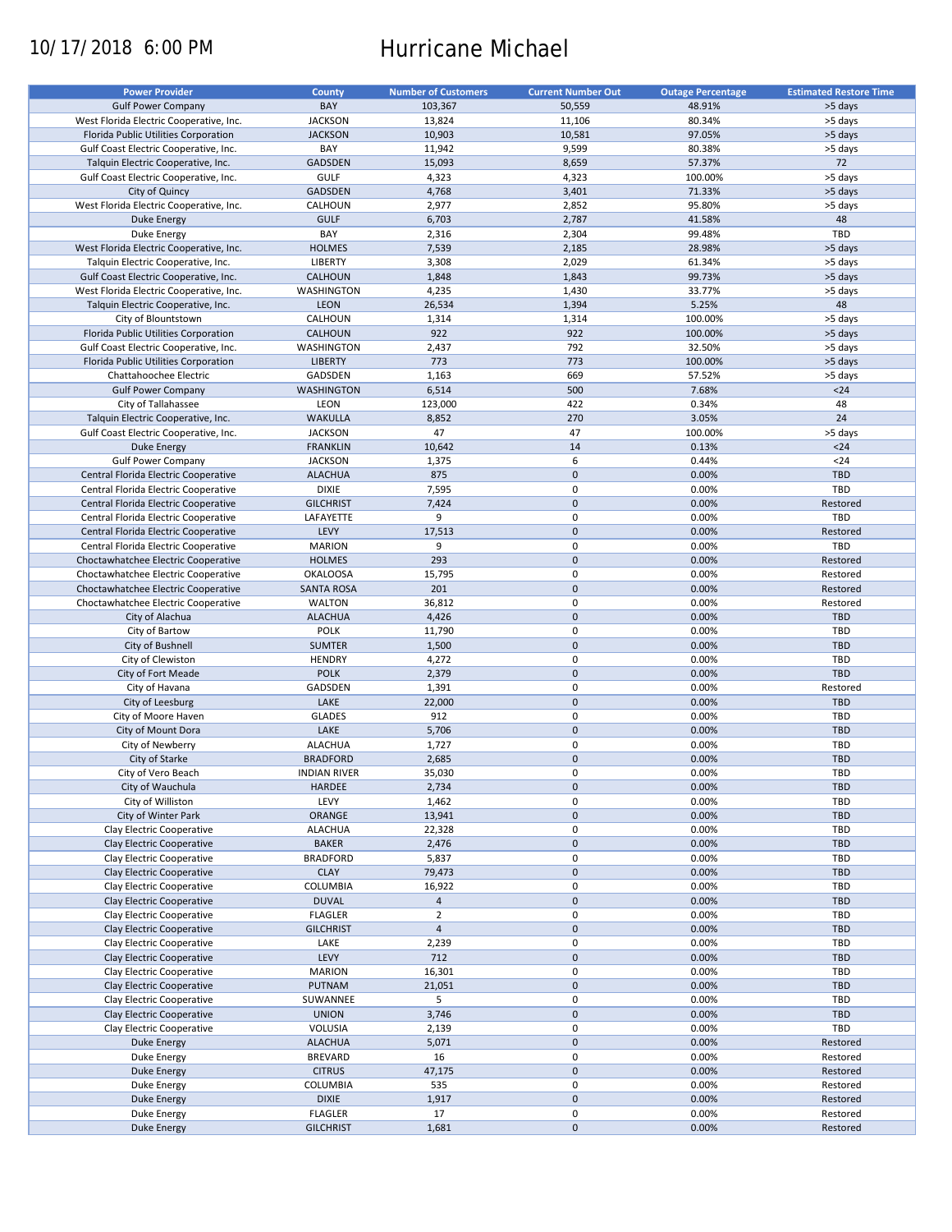# 10/17/2018 6:00 PM Hurricane Michael

| <b>Power Provider</b>                   | <b>County</b>       | <b>Number of Customers</b> | <b>Current Number Out</b> | <b>Outage Percentage</b> | <b>Estimated Restore Time</b> |
|-----------------------------------------|---------------------|----------------------------|---------------------------|--------------------------|-------------------------------|
|                                         |                     |                            |                           |                          |                               |
| <b>Gulf Power Company</b>               | BAY                 | 103,367                    | 50,559                    | 48.91%                   | >5 days                       |
| West Florida Electric Cooperative, Inc. | <b>JACKSON</b>      | 13,824                     | 11,106                    | 80.34%                   | >5 days                       |
| Florida Public Utilities Corporation    | <b>JACKSON</b>      | 10,903                     | 10,581                    | 97.05%                   | >5 days                       |
| Gulf Coast Electric Cooperative, Inc.   | BAY                 | 11,942                     | 9,599                     | 80.38%                   | >5 days                       |
| Talquin Electric Cooperative, Inc.      | GADSDEN             | 15,093                     | 8,659                     | 57.37%                   | 72                            |
| Gulf Coast Electric Cooperative, Inc.   | <b>GULF</b>         | 4,323                      | 4,323                     | 100.00%                  | >5 days                       |
|                                         |                     |                            |                           |                          |                               |
| City of Quincy                          | <b>GADSDEN</b>      | 4,768                      | 3,401                     | 71.33%                   | >5 days                       |
| West Florida Electric Cooperative, Inc. | CALHOUN             | 2,977                      | 2,852                     | 95.80%                   | >5 days                       |
| <b>Duke Energy</b>                      | <b>GULF</b>         | 6,703                      | 2,787                     | 41.58%                   | 48                            |
| Duke Energy                             | BAY                 | 2,316                      | 2,304                     | 99.48%                   | TBD                           |
| West Florida Electric Cooperative, Inc. | <b>HOLMES</b>       | 7,539                      | 2,185                     | 28.98%                   | >5 days                       |
| Talquin Electric Cooperative, Inc.      | <b>LIBERTY</b>      | 3,308                      | 2,029                     | 61.34%                   | >5 days                       |
| Gulf Coast Electric Cooperative, Inc.   | CALHOUN             | 1,848                      | 1,843                     | 99.73%                   | >5 days                       |
|                                         |                     |                            |                           |                          |                               |
| West Florida Electric Cooperative, Inc. | WASHINGTON          | 4,235                      | 1,430                     | 33.77%                   | >5 days                       |
| Talquin Electric Cooperative, Inc.      | <b>LEON</b>         | 26,534                     | 1,394                     | 5.25%                    | 48                            |
| City of Blountstown                     | CALHOUN             | 1,314                      | 1,314                     | 100.00%                  | >5 days                       |
| Florida Public Utilities Corporation    | <b>CALHOUN</b>      | 922                        | 922                       | 100.00%                  | >5 days                       |
| Gulf Coast Electric Cooperative, Inc.   | WASHINGTON          | 2,437                      | 792                       | 32.50%                   | >5 days                       |
| Florida Public Utilities Corporation    | <b>LIBERTY</b>      | 773                        | 773                       | 100.00%                  | >5 days                       |
|                                         | GADSDEN             |                            | 669                       |                          |                               |
| Chattahoochee Electric                  |                     | 1,163                      |                           | 57.52%                   | >5 days                       |
| <b>Gulf Power Company</b>               | <b>WASHINGTON</b>   | 6,514                      | 500                       | 7.68%                    | $24$                          |
| City of Tallahassee                     | LEON                | 123,000                    | 422                       | 0.34%                    | 48                            |
| Talquin Electric Cooperative, Inc.      | <b>WAKULLA</b>      | 8,852                      | 270                       | 3.05%                    | 24                            |
| Gulf Coast Electric Cooperative, Inc.   | <b>JACKSON</b>      | 47                         | 47                        | 100.00%                  | >5 days                       |
| <b>Duke Energy</b>                      | <b>FRANKLIN</b>     | 10,642                     | 14                        | 0.13%                    | $24$                          |
| <b>Gulf Power Company</b>               |                     |                            | 6                         | 0.44%                    | $24$                          |
|                                         | <b>JACKSON</b>      | 1,375                      |                           |                          |                               |
| Central Florida Electric Cooperative    | <b>ALACHUA</b>      | 875                        | $\mathbf 0$               | 0.00%                    | <b>TBD</b>                    |
| Central Florida Electric Cooperative    | <b>DIXIE</b>        | 7,595                      | 0                         | 0.00%                    | TBD                           |
| Central Florida Electric Cooperative    | <b>GILCHRIST</b>    | 7,424                      | $\mathbf 0$               | 0.00%                    | Restored                      |
| Central Florida Electric Cooperative    | LAFAYETTE           | 9                          | 0                         | 0.00%                    | TBD                           |
| Central Florida Electric Cooperative    | LEVY                | 17,513                     | $\mathbf 0$               | 0.00%                    | Restored                      |
| Central Florida Electric Cooperative    | <b>MARION</b>       | 9                          | 0                         | 0.00%                    | TBD                           |
|                                         | <b>HOLMES</b>       | 293                        | $\mathbf 0$               | 0.00%                    | Restored                      |
| Choctawhatchee Electric Cooperative     |                     |                            |                           |                          |                               |
| Choctawhatchee Electric Cooperative     | <b>OKALOOSA</b>     | 15,795                     | 0                         | 0.00%                    | Restored                      |
| Choctawhatchee Electric Cooperative     | <b>SANTA ROSA</b>   | 201                        | $\mathbf 0$               | 0.00%                    | Restored                      |
| Choctawhatchee Electric Cooperative     | <b>WALTON</b>       | 36,812                     | 0                         | 0.00%                    | Restored                      |
| City of Alachua                         | <b>ALACHUA</b>      | 4,426                      | $\mathbf 0$               | 0.00%                    | <b>TBD</b>                    |
| City of Bartow                          | POLK                | 11,790                     | $\pmb{0}$                 | 0.00%                    | TBD                           |
| City of Bushnell                        | <b>SUMTER</b>       | 1,500                      | $\mathbf 0$               | 0.00%                    | <b>TBD</b>                    |
| City of Clewiston                       | <b>HENDRY</b>       | 4,272                      | 0                         | 0.00%                    | TBD                           |
| City of Fort Meade                      | <b>POLK</b>         | 2,379                      | $\mathbf 0$               | 0.00%                    | <b>TBD</b>                    |
| City of Havana                          | GADSDEN             |                            | 0                         | 0.00%                    |                               |
|                                         |                     | 1,391                      |                           |                          | Restored                      |
| City of Leesburg                        | LAKE                | 22,000                     | $\mathbf 0$               | 0.00%                    | <b>TBD</b>                    |
| City of Moore Haven                     | <b>GLADES</b>       | 912                        | 0                         | 0.00%                    | TBD                           |
| City of Mount Dora                      | LAKE                | 5,706                      | $\mathbf 0$               | 0.00%                    | <b>TBD</b>                    |
| City of Newberry                        | <b>ALACHUA</b>      | 1,727                      | 0                         | 0.00%                    | <b>TBD</b>                    |
| City of Starke                          | <b>BRADFORD</b>     | 2,685                      | $\mathbf 0$               | 0.00%                    | <b>TBD</b>                    |
| City of Vero Beach                      | <b>INDIAN RIVER</b> | 35,030                     | $\mathbf 0$               | 0.00%                    | TBD                           |
| City of Wauchula                        | HARDEE              | 2,734                      | $\pmb{0}$                 | 0.00%                    | TBD                           |
|                                         |                     |                            |                           |                          |                               |
| City of Williston                       | LEVY                | 1,462                      | 0                         | 0.00%                    | TBD                           |
| City of Winter Park                     | ORANGE              | 13,941                     | $\mathsf{O}\xspace$       | 0.00%                    | <b>TBD</b>                    |
| Clay Electric Cooperative               | <b>ALACHUA</b>      | 22,328                     | 0                         | 0.00%                    | TBD                           |
| Clay Electric Cooperative               | <b>BAKER</b>        | 2,476                      | $\mathsf{O}\xspace$       | 0.00%                    | TBD                           |
| Clay Electric Cooperative               | <b>BRADFORD</b>     | 5,837                      | 0                         | 0.00%                    | TBD                           |
| Clay Electric Cooperative               | <b>CLAY</b>         | 79,473                     | $\mathsf{O}\xspace$       | 0.00%                    | TBD                           |
| Clay Electric Cooperative               | COLUMBIA            | 16,922                     | 0                         | 0.00%                    | TBD                           |
|                                         |                     |                            |                           |                          |                               |
| Clay Electric Cooperative               | <b>DUVAL</b>        | $\overline{4}$             | $\mathsf{O}\xspace$       | 0.00%                    | <b>TBD</b>                    |
| Clay Electric Cooperative               | <b>FLAGLER</b>      | $\overline{2}$             | 0                         | 0.00%                    | TBD                           |
| Clay Electric Cooperative               | <b>GILCHRIST</b>    | $\overline{4}$             | $\pmb{0}$                 | 0.00%                    | <b>TBD</b>                    |
| Clay Electric Cooperative               | LAKE                | 2,239                      | 0                         | 0.00%                    | TBD                           |
| Clay Electric Cooperative               | LEVY                | 712                        | $\pmb{0}$                 | 0.00%                    | <b>TBD</b>                    |
| Clay Electric Cooperative               | <b>MARION</b>       | 16,301                     | 0                         | 0.00%                    | TBD                           |
| Clay Electric Cooperative               | <b>PUTNAM</b>       | 21,051                     | $\pmb{0}$                 | 0.00%                    | <b>TBD</b>                    |
|                                         |                     |                            |                           |                          |                               |
| Clay Electric Cooperative               | SUWANNEE            | 5                          | 0                         | 0.00%                    | TBD                           |
| Clay Electric Cooperative               | <b>UNION</b>        | 3,746                      | $\pmb{0}$                 | 0.00%                    | TBD                           |
| Clay Electric Cooperative               | VOLUSIA             | 2,139                      | $\pmb{0}$                 | 0.00%                    | TBD                           |
| Duke Energy                             | <b>ALACHUA</b>      | 5,071                      | $\pmb{0}$                 | 0.00%                    | Restored                      |
| Duke Energy                             | <b>BREVARD</b>      | 16                         | 0                         | 0.00%                    | Restored                      |
| <b>Duke Energy</b>                      | <b>CITRUS</b>       | 47,175                     | $\mathsf{O}\xspace$       | 0.00%                    | Restored                      |
| Duke Energy                             | COLUMBIA            | 535                        | 0                         | 0.00%                    | Restored                      |
| <b>Duke Energy</b>                      | <b>DIXIE</b>        | 1,917                      | $\pmb{0}$                 | 0.00%                    | Restored                      |
|                                         |                     |                            |                           |                          |                               |
| Duke Energy                             | <b>FLAGLER</b>      | 17                         | 0                         | 0.00%                    | Restored                      |
| <b>Duke Energy</b>                      | <b>GILCHRIST</b>    | 1,681                      | $\pmb{0}$                 | 0.00%                    | Restored                      |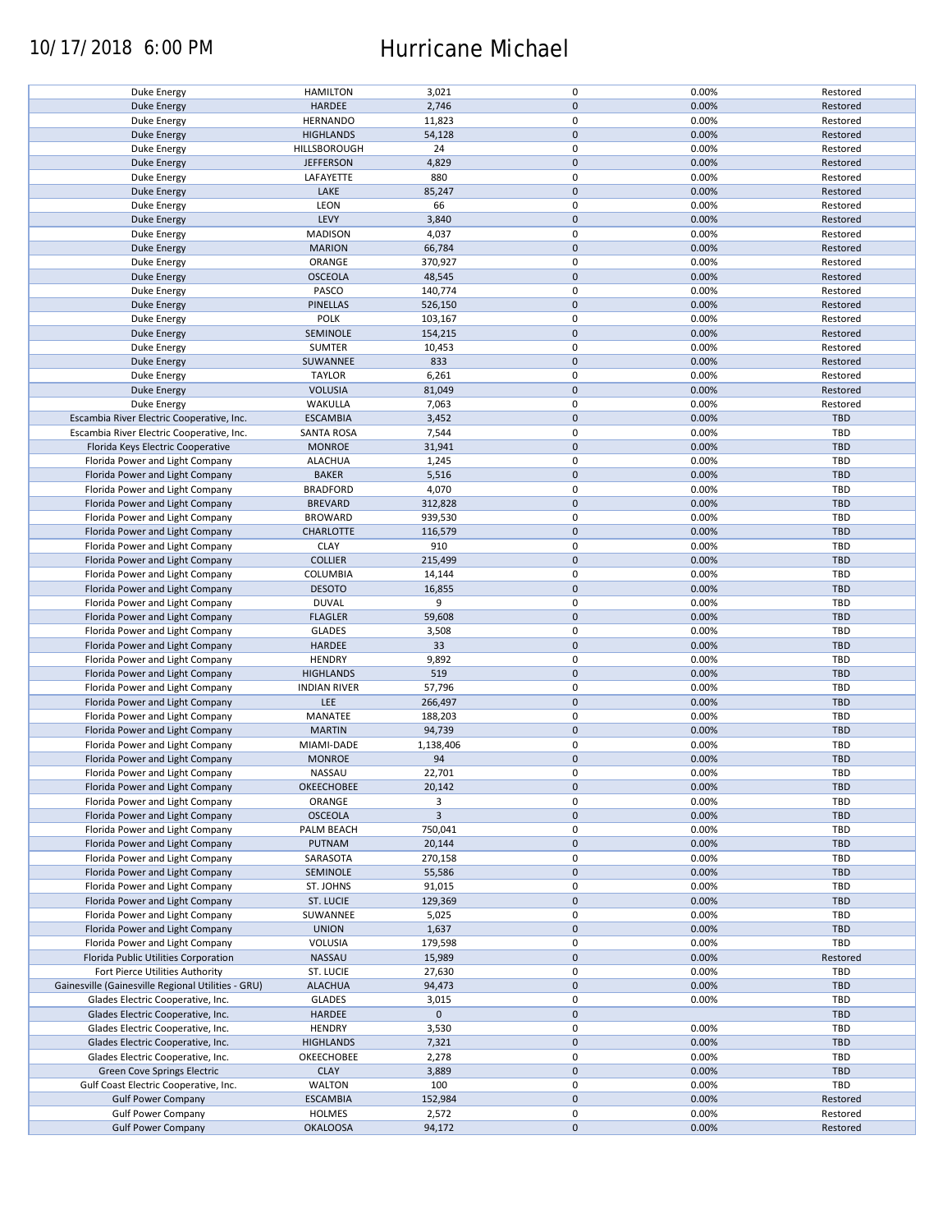## 10/17/2018 6:00 PM Hurricane Michael

| Duke Energy                                        | <b>HAMILTON</b>     | 3,021          | 0                   | 0.00% | Restored   |
|----------------------------------------------------|---------------------|----------------|---------------------|-------|------------|
| <b>Duke Energy</b>                                 | HARDEE              | 2,746          | $\mathbf 0$         | 0.00% | Restored   |
|                                                    |                     |                |                     |       |            |
| Duke Energy                                        | <b>HERNANDO</b>     | 11,823         | 0                   | 0.00% | Restored   |
| <b>Duke Energy</b>                                 | <b>HIGHLANDS</b>    | 54,128         | $\mathbf 0$         | 0.00% | Restored   |
|                                                    |                     | 24             | 0                   | 0.00% |            |
| Duke Energy                                        | HILLSBOROUGH        |                |                     |       | Restored   |
| <b>Duke Energy</b>                                 | <b>JEFFERSON</b>    | 4,829          | $\mathbf 0$         | 0.00% | Restored   |
| Duke Energy                                        | LAFAYETTE           | 880            | 0                   | 0.00% | Restored   |
|                                                    |                     |                | $\mathbf 0$         |       |            |
| <b>Duke Energy</b>                                 | LAKE                | 85,247         |                     | 0.00% | Restored   |
| Duke Energy                                        | LEON                | 66             | 0                   | 0.00% | Restored   |
| Duke Energy                                        | LEVY                | 3,840          | $\mathbf 0$         | 0.00% | Restored   |
|                                                    |                     |                |                     |       |            |
| Duke Energy                                        | <b>MADISON</b>      | 4,037          | 0                   | 0.00% | Restored   |
| <b>Duke Energy</b>                                 | <b>MARION</b>       | 66,784         | $\mathbf 0$         | 0.00% | Restored   |
| Duke Energy                                        | ORANGE              | 370,927        | 0                   | 0.00% | Restored   |
|                                                    |                     |                |                     |       |            |
| Duke Energy                                        | <b>OSCEOLA</b>      | 48,545         | $\mathbf 0$         | 0.00% | Restored   |
| Duke Energy                                        | PASCO               | 140,774        | 0                   | 0.00% | Restored   |
| <b>Duke Energy</b>                                 | <b>PINELLAS</b>     | 526,150        | $\mathbf 0$         | 0.00% | Restored   |
|                                                    |                     |                |                     |       |            |
| Duke Energy                                        | <b>POLK</b>         | 103,167        | $\pmb{0}$           | 0.00% | Restored   |
| <b>Duke Energy</b>                                 | SEMINOLE            | 154,215        | $\pmb{0}$           | 0.00% | Restored   |
|                                                    |                     |                |                     |       |            |
| Duke Energy                                        | SUMTER              | 10,453         | $\pmb{0}$           | 0.00% | Restored   |
| <b>Duke Energy</b>                                 | SUWANNEE            | 833            | $\pmb{0}$           | 0.00% | Restored   |
| Duke Energy                                        | <b>TAYLOR</b>       | 6,261          | $\pmb{0}$           | 0.00% | Restored   |
|                                                    |                     |                |                     |       |            |
| <b>Duke Energy</b>                                 | <b>VOLUSIA</b>      | 81,049         | $\pmb{0}$           | 0.00% | Restored   |
| Duke Energy                                        | WAKULLA             | 7,063          | 0                   | 0.00% | Restored   |
| Escambia River Electric Cooperative, Inc.          | <b>ESCAMBIA</b>     |                | $\pmb{0}$           | 0.00% | <b>TBD</b> |
|                                                    |                     | 3,452          |                     |       |            |
| Escambia River Electric Cooperative, Inc.          | <b>SANTA ROSA</b>   | 7,544          | 0                   | 0.00% | TBD        |
| Florida Keys Electric Cooperative                  | <b>MONROE</b>       | 31,941         | $\pmb{0}$           | 0.00% | <b>TBD</b> |
|                                                    |                     |                |                     |       |            |
| Florida Power and Light Company                    | <b>ALACHUA</b>      | 1,245          | $\pmb{0}$           | 0.00% | TBD        |
| Florida Power and Light Company                    | <b>BAKER</b>        | 5,516          | $\pmb{0}$           | 0.00% | <b>TBD</b> |
| Florida Power and Light Company                    | <b>BRADFORD</b>     | 4,070          | 0                   | 0.00% | TBD        |
|                                                    |                     |                |                     |       |            |
| Florida Power and Light Company                    | <b>BREVARD</b>      | 312,828        | $\mathsf{O}\xspace$ | 0.00% | <b>TBD</b> |
| Florida Power and Light Company                    | <b>BROWARD</b>      | 939,530        | 0                   | 0.00% | TBD        |
| Florida Power and Light Company                    | <b>CHARLOTTE</b>    | 116,579        | $\pmb{0}$           | 0.00% | <b>TBD</b> |
|                                                    |                     |                |                     |       |            |
| Florida Power and Light Company                    | <b>CLAY</b>         | 910            | 0                   | 0.00% | <b>TBD</b> |
| Florida Power and Light Company                    | <b>COLLIER</b>      | 215,499        | $\mathsf{O}\xspace$ | 0.00% | <b>TBD</b> |
|                                                    |                     |                |                     |       |            |
| Florida Power and Light Company                    | COLUMBIA            | 14,144         | 0                   | 0.00% | TBD        |
| Florida Power and Light Company                    | <b>DESOTO</b>       | 16,855         | $\pmb{0}$           | 0.00% | <b>TBD</b> |
| Florida Power and Light Company                    | <b>DUVAL</b>        | 9              | 0                   | 0.00% | TBD        |
|                                                    |                     |                |                     |       |            |
| Florida Power and Light Company                    | <b>FLAGLER</b>      | 59,608         | $\pmb{0}$           | 0.00% | <b>TBD</b> |
| Florida Power and Light Company                    | <b>GLADES</b>       | 3,508          | $\pmb{0}$           | 0.00% | TBD        |
| Florida Power and Light Company                    | HARDEE              | 33             | $\mathbf 0$         | 0.00% | <b>TBD</b> |
|                                                    |                     |                |                     |       |            |
| Florida Power and Light Company                    | <b>HENDRY</b>       | 9,892          | $\pmb{0}$           | 0.00% | TBD        |
| Florida Power and Light Company                    | <b>HIGHLANDS</b>    | 519            | $\mathbf 0$         | 0.00% | <b>TBD</b> |
| Florida Power and Light Company                    |                     | 57,796         | $\pmb{0}$           | 0.00% | TBD        |
|                                                    | <b>INDIAN RIVER</b> |                |                     |       |            |
| Florida Power and Light Company                    | LEE                 | 266,497        | $\mathbf 0$         | 0.00% | <b>TBD</b> |
| Florida Power and Light Company                    | MANATEE             | 188,203        | 0                   | 0.00% | TBD        |
|                                                    |                     |                |                     |       |            |
| Florida Power and Light Company                    | <b>MARTIN</b>       | 94,739         | $\mathbf 0$         | 0.00% | <b>TBD</b> |
| Florida Power and Light Company                    | MIAMI-DADE          | 1,138,406      | 0                   | 0.00% | TBD        |
| Florida Power and Light Company                    | <b>MONROE</b>       | 94             | $\mathbf 0$         | 0.00% | <b>TBD</b> |
|                                                    |                     |                |                     |       |            |
| Florida Power and Light Company                    | <b>NASSAU</b>       | 22,701         | 0                   | 0.00% | TBD        |
| Florida Power and Light Company                    | OKEECHOBEE          | 20,142         | $\pmb{0}$           | 0.00% | <b>TBD</b> |
| Florida Power and Light Company                    |                     | 3              |                     |       | TBD        |
|                                                    | ORANGE              |                | 0                   | 0.00% |            |
| Florida Power and Light Company                    | <b>OSCEOLA</b>      | $\overline{3}$ | $\mathbf 0$         | 0.00% | <b>TBD</b> |
| Florida Power and Light Company                    | PALM BEACH          | 750,041        | 0                   | 0.00% | TBD        |
|                                                    |                     |                |                     |       |            |
| Florida Power and Light Company                    | <b>PUTNAM</b>       | 20,144         | $\mathsf{O}\xspace$ | 0.00% | <b>TBD</b> |
| Florida Power and Light Company                    | SARASOTA            | 270,158        | 0                   | 0.00% | TBD        |
| Florida Power and Light Company                    | SEMINOLE            | 55,586         | $\mathsf{O}\xspace$ | 0.00% | <b>TBD</b> |
|                                                    |                     |                |                     |       |            |
| Florida Power and Light Company                    | ST. JOHNS           | 91,015         | 0                   | 0.00% | TBD        |
| Florida Power and Light Company                    | ST. LUCIE           | 129,369        | $\mathsf{O}\xspace$ | 0.00% | <b>TBD</b> |
| Florida Power and Light Company                    | SUWANNEE            | 5,025          | 0                   | 0.00% | TBD        |
|                                                    |                     |                |                     |       |            |
| Florida Power and Light Company                    | <b>UNION</b>        | 1,637          | $\pmb{0}$           | 0.00% | <b>TBD</b> |
| Florida Power and Light Company                    | VOLUSIA             | 179,598        | 0                   | 0.00% | TBD        |
| Florida Public Utilities Corporation               | NASSAU              | 15,989         | $\mathsf{O}\xspace$ | 0.00% | Restored   |
|                                                    |                     |                |                     |       |            |
| Fort Pierce Utilities Authority                    | ST. LUCIE           | 27,630         | 0                   | 0.00% | TBD        |
| Gainesville (Gainesville Regional Utilities - GRU) | <b>ALACHUA</b>      | 94,473         | $\pmb{0}$           | 0.00% | <b>TBD</b> |
| Glades Electric Cooperative, Inc.                  | <b>GLADES</b>       | 3,015          | 0                   | 0.00% | TBD        |
|                                                    |                     |                |                     |       |            |
| Glades Electric Cooperative, Inc.                  | HARDEE              | $\mathbf 0$    | $\pmb{0}$           |       | <b>TBD</b> |
| Glades Electric Cooperative, Inc.                  | <b>HENDRY</b>       | 3,530          | 0                   | 0.00% | <b>TBD</b> |
| Glades Electric Cooperative, Inc.                  | <b>HIGHLANDS</b>    | 7,321          | $\pmb{0}$           | 0.00% | TBD        |
|                                                    |                     |                |                     |       |            |
| Glades Electric Cooperative, Inc.                  | OKEECHOBEE          | 2,278          | 0                   | 0.00% | <b>TBD</b> |
| Green Cove Springs Electric                        | <b>CLAY</b>         | 3,889          | $\mathsf{O}\xspace$ | 0.00% | TBD        |
|                                                    | <b>WALTON</b>       | 100            | 0                   | 0.00% | TBD        |
| Gulf Coast Electric Cooperative, Inc.              |                     |                |                     |       |            |
| <b>Gulf Power Company</b>                          | <b>ESCAMBIA</b>     | 152,984        | $\pmb{0}$           | 0.00% | Restored   |
| <b>Gulf Power Company</b>                          | <b>HOLMES</b>       | 2,572          | 0                   | 0.00% | Restored   |
| <b>Gulf Power Company</b>                          | <b>OKALOOSA</b>     | 94,172         | $\mathsf{O}\xspace$ | 0.00% | Restored   |
|                                                    |                     |                |                     |       |            |